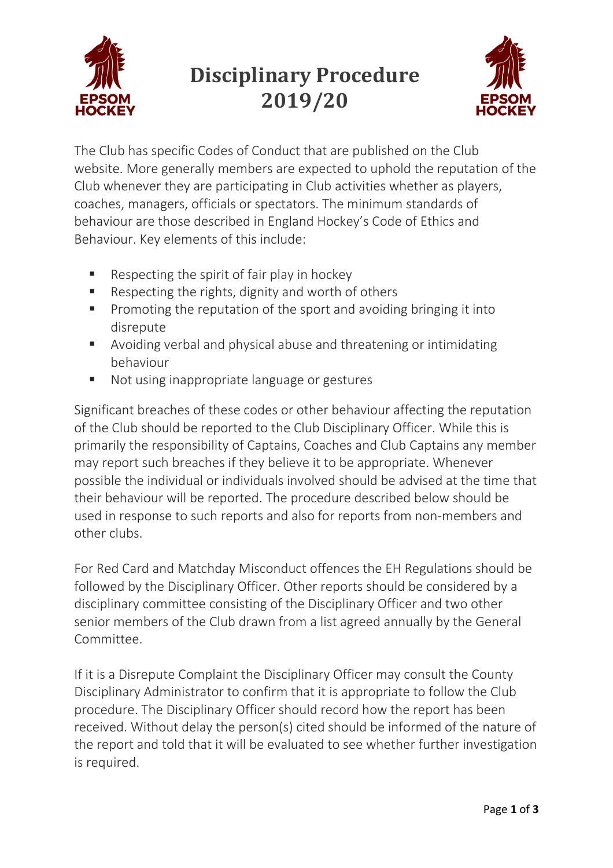

## **Disciplinary Procedure 2019/20**



The Club has specific Codes of Conduct that are published on the Club website. More generally members are expected to uphold the reputation of the Club whenever they are participating in Club activities whether as players, coaches, managers, officials or spectators. The minimum standards of behaviour are those described in England Hockey's Code of Ethics and Behaviour. Key elements of this include:

- Respecting the spirit of fair play in hockey
- Respecting the rights, dignity and worth of others
- Promoting the reputation of the sport and avoiding bringing it into disrepute
- Avoiding verbal and physical abuse and threatening or intimidating behaviour
- Not using inappropriate language or gestures

Significant breaches of these codes or other behaviour affecting the reputation of the Club should be reported to the Club Disciplinary Officer. While this is primarily the responsibility of Captains, Coaches and Club Captains any member may report such breaches if they believe it to be appropriate. Whenever possible the individual or individuals involved should be advised at the time that their behaviour will be reported. The procedure described below should be used in response to such reports and also for reports from non-members and other clubs.

For Red Card and Matchday Misconduct offences the EH Regulations should be followed by the Disciplinary Officer. Other reports should be considered by a disciplinary committee consisting of the Disciplinary Officer and two other senior members of the Club drawn from a list agreed annually by the General Committee.

If it is a Disrepute Complaint the Disciplinary Officer may consult the County Disciplinary Administrator to confirm that it is appropriate to follow the Club procedure. The Disciplinary Officer should record how the report has been received. Without delay the person(s) cited should be informed of the nature of the report and told that it will be evaluated to see whether further investigation is required.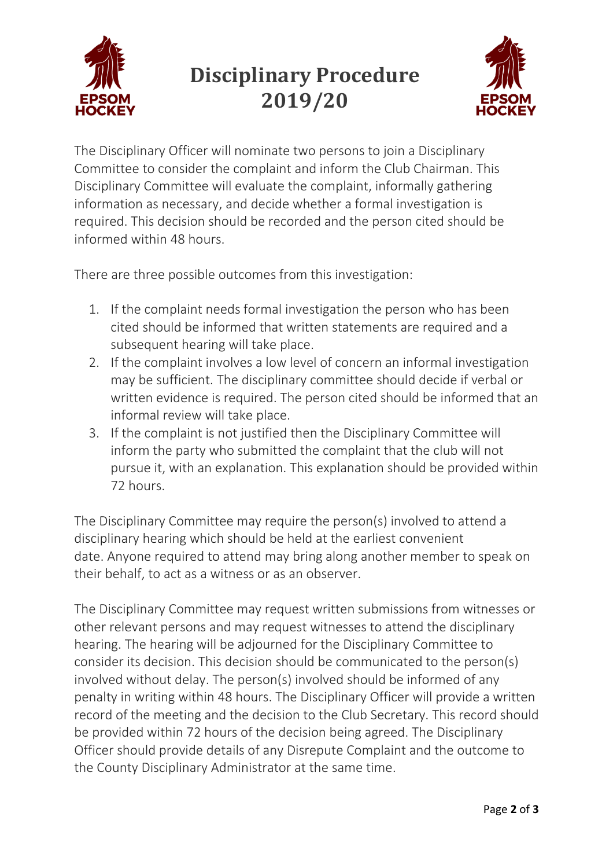

## **Disciplinary Procedure 2019/20**



The Disciplinary Officer will nominate two persons to join a Disciplinary Committee to consider the complaint and inform the Club Chairman. This Disciplinary Committee will evaluate the complaint, informally gathering information as necessary, and decide whether a formal investigation is required. This decision should be recorded and the person cited should be informed within 48 hours.

There are three possible outcomes from this investigation:

- 1. If the complaint needs formal investigation the person who has been cited should be informed that written statements are required and a subsequent hearing will take place.
- 2. If the complaint involves a low level of concern an informal investigation may be sufficient. The disciplinary committee should decide if verbal or written evidence is required. The person cited should be informed that an informal review will take place.
- 3. If the complaint is not justified then the Disciplinary Committee will inform the party who submitted the complaint that the club will not pursue it, with an explanation. This explanation should be provided within 72 hours.

The Disciplinary Committee may require the person(s) involved to attend a disciplinary hearing which should be held at the earliest convenient date. Anyone required to attend may bring along another member to speak on their behalf, to act as a witness or as an observer.

The Disciplinary Committee may request written submissions from witnesses or other relevant persons and may request witnesses to attend the disciplinary hearing. The hearing will be adjourned for the Disciplinary Committee to consider its decision. This decision should be communicated to the person(s) involved without delay. The person(s) involved should be informed of any penalty in writing within 48 hours. The Disciplinary Officer will provide a written record of the meeting and the decision to the Club Secretary. This record should be provided within 72 hours of the decision being agreed. The Disciplinary Officer should provide details of any Disrepute Complaint and the outcome to the County Disciplinary Administrator at the same time.